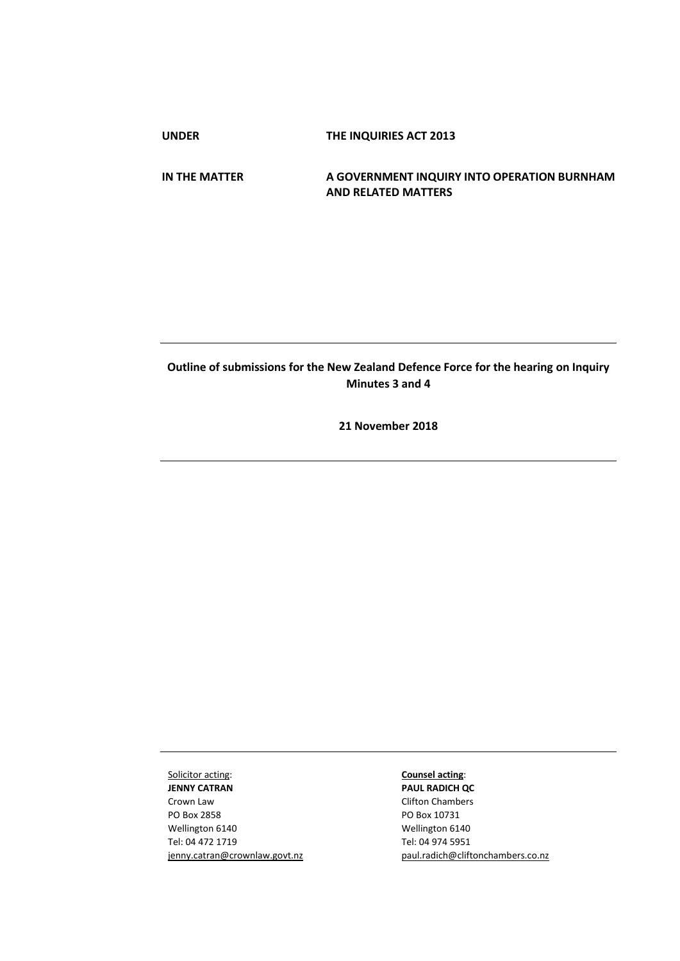**UNDER THE INQUIRIES ACT 2013**

**IN THE MATTER A GOVERNMENT INQUIRY INTO OPERATION BURNHAM AND RELATED MATTERS**

# **Outline of submissions for the New Zealand Defence Force for the hearing on Inquiry Minutes 3 and 4**

**21 November 2018**

Solicitor acting: **JENNY CATRAN** Crown Law PO Box 2858 Wellington 6140 Tel: 04 472 1719 jenny.catran@crownlaw.govt.nz

**Counsel acting**: **PAUL RADICH QC** Clifton Chambers PO Box 10731 Wellington 6140 Tel: 04 974 5951 [paul.radich@cliftonchambers.co.nz](mailto:paul.radich@cliftonchambers.co.nz)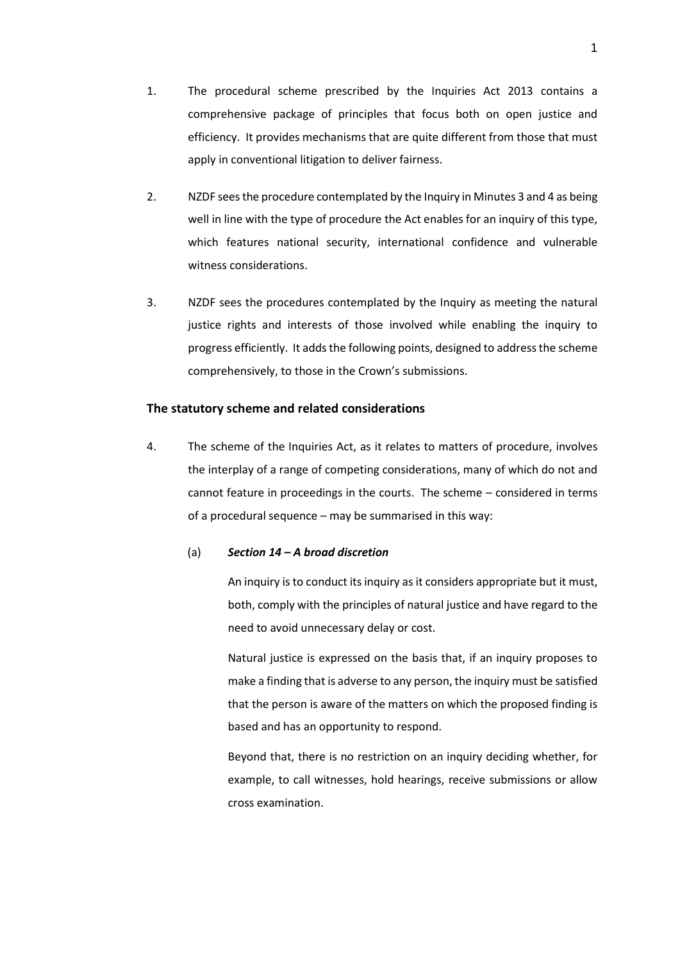- 1. The procedural scheme prescribed by the Inquiries Act 2013 contains a comprehensive package of principles that focus both on open justice and efficiency. It provides mechanisms that are quite different from those that must apply in conventional litigation to deliver fairness.
- 2. NZDF sees the procedure contemplated by the Inquiry in Minutes 3 and 4 as being well in line with the type of procedure the Act enables for an inquiry of this type, which features national security, international confidence and vulnerable witness considerations.
- 3. NZDF sees the procedures contemplated by the Inquiry as meeting the natural justice rights and interests of those involved while enabling the inquiry to progress efficiently. It adds the following points, designed to address the scheme comprehensively, to those in the Crown's submissions.

## **The statutory scheme and related considerations**

4. The scheme of the Inquiries Act, as it relates to matters of procedure, involves the interplay of a range of competing considerations, many of which do not and cannot feature in proceedings in the courts. The scheme – considered in terms of a procedural sequence – may be summarised in this way:

## (a) *Section 14 – A broad discretion*

An inquiry is to conduct its inquiry as it considers appropriate but it must, both, comply with the principles of natural justice and have regard to the need to avoid unnecessary delay or cost.

Natural justice is expressed on the basis that, if an inquiry proposes to make a finding that is adverse to any person, the inquiry must be satisfied that the person is aware of the matters on which the proposed finding is based and has an opportunity to respond.

Beyond that, there is no restriction on an inquiry deciding whether, for example, to call witnesses, hold hearings, receive submissions or allow cross examination.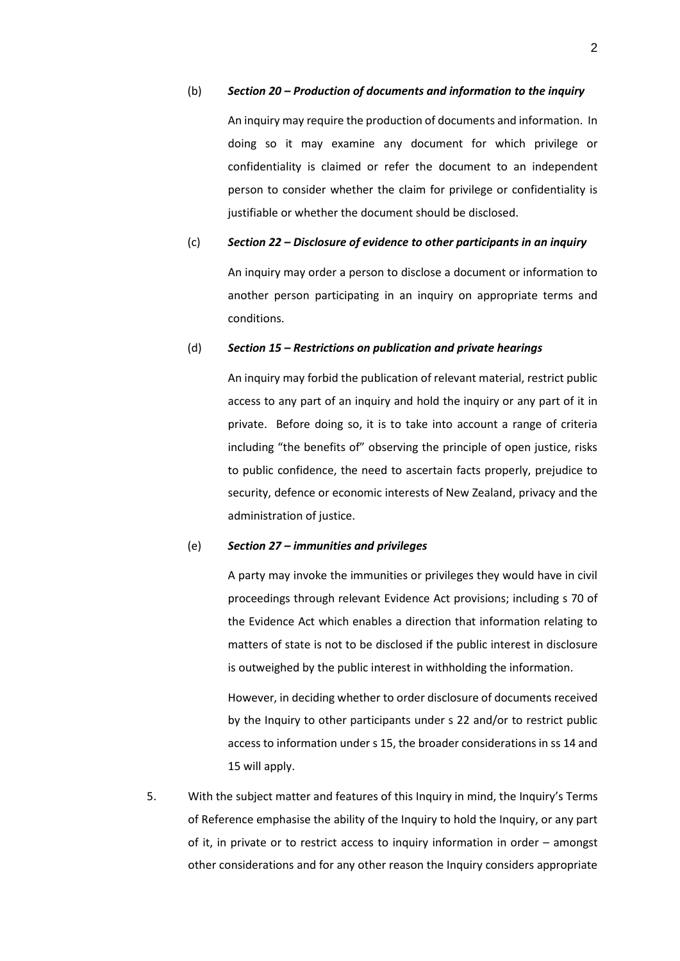#### (b) *Section 20 – Production of documents and information to the inquiry*

An inquiry may require the production of documents and information. In doing so it may examine any document for which privilege or confidentiality is claimed or refer the document to an independent person to consider whether the claim for privilege or confidentiality is justifiable or whether the document should be disclosed.

## (c) *Section 22 – Disclosure of evidence to other participants in an inquiry*

An inquiry may order a person to disclose a document or information to another person participating in an inquiry on appropriate terms and conditions.

## (d) *Section 15 – Restrictions on publication and private hearings*

An inquiry may forbid the publication of relevant material, restrict public access to any part of an inquiry and hold the inquiry or any part of it in private. Before doing so, it is to take into account a range of criteria including "the benefits of" observing the principle of open justice, risks to public confidence, the need to ascertain facts properly, prejudice to security, defence or economic interests of New Zealand, privacy and the administration of justice.

## (e) *Section 27 – immunities and privileges*

A party may invoke the immunities or privileges they would have in civil proceedings through relevant Evidence Act provisions; including s 70 of the Evidence Act which enables a direction that information relating to matters of state is not to be disclosed if the public interest in disclosure is outweighed by the public interest in withholding the information.

However, in deciding whether to order disclosure of documents received by the Inquiry to other participants under s 22 and/or to restrict public access to information under s 15, the broader considerations in ss 14 and 15 will apply.

5. With the subject matter and features of this Inquiry in mind, the Inquiry's Terms of Reference emphasise the ability of the Inquiry to hold the Inquiry, or any part of it, in private or to restrict access to inquiry information in order – amongst other considerations and for any other reason the Inquiry considers appropriate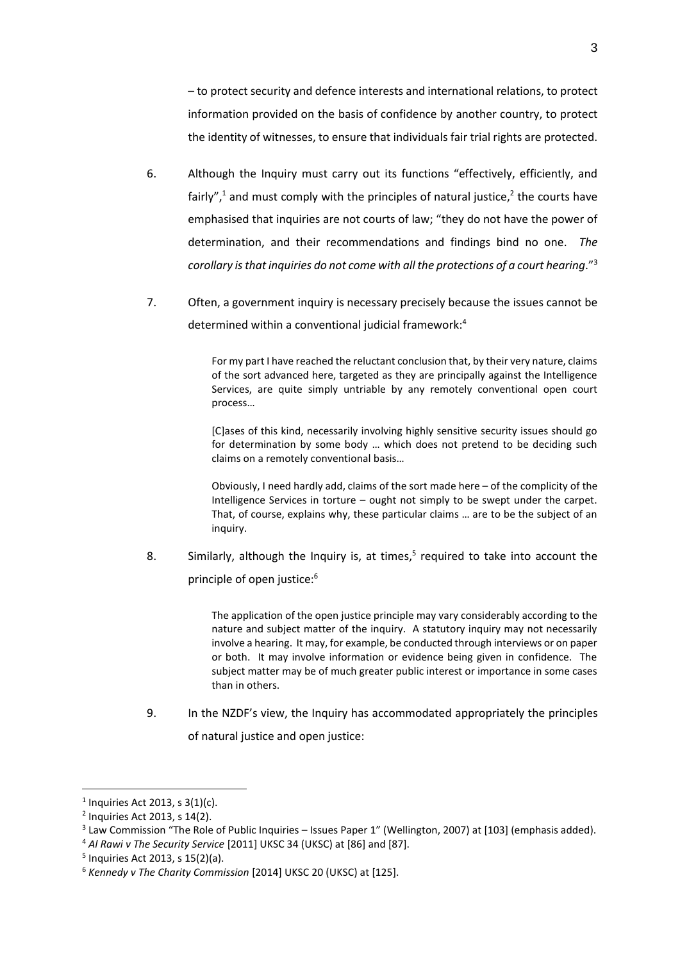– to protect security and defence interests and international relations, to protect information provided on the basis of confidence by another country, to protect the identity of witnesses, to ensure that individuals fair trial rights are protected.

- 6. Although the Inquiry must carry out its functions "effectively, efficiently, and fairly",<sup>1</sup> and must comply with the principles of natural justice,<sup>2</sup> the courts have emphasised that inquiries are not courts of law; "they do not have the power of determination, and their recommendations and findings bind no one. *The corollary is that inquiries do not come with all the protections of a court hearing*."<sup>3</sup>
- 7. Often, a government inquiry is necessary precisely because the issues cannot be determined within a conventional judicial framework:<sup>4</sup>

For my part I have reached the reluctant conclusion that, by their very nature, claims of the sort advanced here, targeted as they are principally against the Intelligence Services, are quite simply untriable by any remotely conventional open court process…

[C]ases of this kind, necessarily involving highly sensitive security issues should go for determination by some body … which does not pretend to be deciding such claims on a remotely conventional basis…

Obviously, I need hardly add, claims of the sort made here – of the complicity of the Intelligence Services in torture – ought not simply to be swept under the carpet. That, of course, explains why, these particular claims … are to be the subject of an inquiry.

8. Similarly, although the Inquiry is, at times, $5$  required to take into account the principle of open justice:<sup>6</sup>

> The application of the open justice principle may vary considerably according to the nature and subject matter of the inquiry. A statutory inquiry may not necessarily involve a hearing. It may, for example, be conducted through interviews or on paper or both. It may involve information or evidence being given in confidence. The subject matter may be of much greater public interest or importance in some cases than in others.

9. In the NZDF's view, the Inquiry has accommodated appropriately the principles of natural justice and open justice:

**.** 

<sup>4</sup> *Al Rawi v The Security Service* [2011] UKSC 34 (UKSC) at [86] and [87].

 $1$  Inquiries Act 2013, s 3(1)(c).

<sup>2</sup> Inquiries Act 2013, s 14(2).

 $3$  Law Commission "The Role of Public Inquiries – Issues Paper 1" (Wellington, 2007) at [103] (emphasis added).

<sup>5</sup> Inquiries Act 2013, s 15(2)(a).

<sup>6</sup> *Kennedy v The Charity Commission* [2014] UKSC 20 (UKSC) at [125].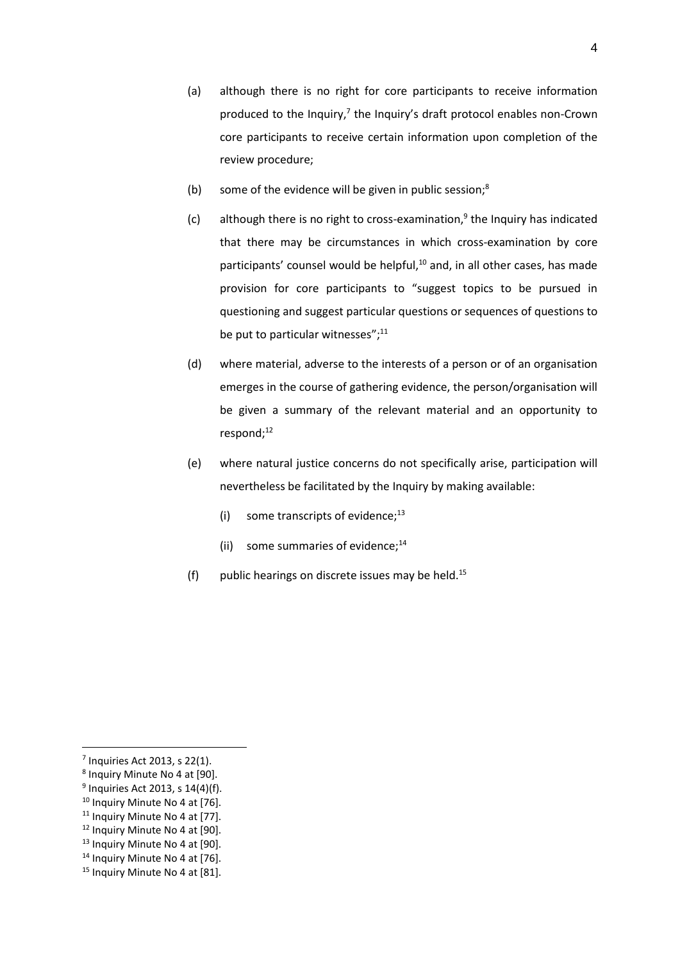- (a) although there is no right for core participants to receive information produced to the Inquiry, $7$  the Inquiry's draft protocol enables non-Crown core participants to receive certain information upon completion of the review procedure;
- (b) some of the evidence will be given in public session; $<sup>8</sup>$ </sup>
- $(c)$  although there is no right to cross-examination, $9$  the Inquiry has indicated that there may be circumstances in which cross-examination by core participants' counsel would be helpful, $10$  and, in all other cases, has made provision for core participants to "suggest topics to be pursued in questioning and suggest particular questions or sequences of questions to be put to particular witnesses"; $^{11}$
- (d) where material, adverse to the interests of a person or of an organisation emerges in the course of gathering evidence, the person/organisation will be given a summary of the relevant material and an opportunity to respond;<sup>12</sup>
- (e) where natural justice concerns do not specifically arise, participation will nevertheless be facilitated by the Inquiry by making available:
	- (i) some transcripts of evidence; $^{13}$
	- (ii) some summaries of evidence; $^{14}$
- (f) public hearings on discrete issues may be held.<sup>15</sup>

4

 $\overline{\phantom{a}}$  $<sup>7</sup>$  Inquiries Act 2013, s 22(1).</sup>

<sup>8</sup> Inquiry Minute No 4 at [90].

 $<sup>9</sup>$  Inquiries Act 2013, s 14(4)(f).</sup>

<sup>&</sup>lt;sup>10</sup> Inquiry Minute No 4 at [76].

<sup>&</sup>lt;sup>11</sup> Inquiry Minute No 4 at [77].

<sup>&</sup>lt;sup>12</sup> Inquiry Minute No 4 at [90].

<sup>&</sup>lt;sup>13</sup> Inquiry Minute No 4 at [90].

<sup>&</sup>lt;sup>14</sup> Inquiry Minute No 4 at [76].

<sup>&</sup>lt;sup>15</sup> Inquiry Minute No 4 at [81].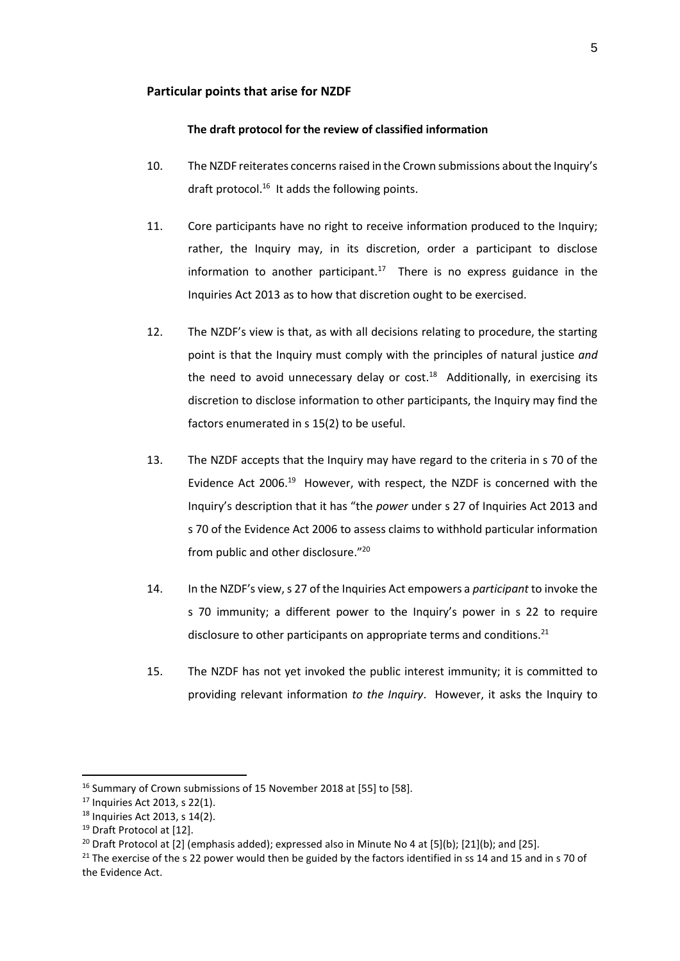## **Particular points that arise for NZDF**

#### **The draft protocol for the review of classified information**

- 10. The NZDF reiterates concerns raised in the Crown submissions about the Inquiry's draft protocol.<sup>16</sup> It adds the following points.
- 11. Core participants have no right to receive information produced to the Inquiry; rather, the Inquiry may, in its discretion, order a participant to disclose information to another participant.<sup>17</sup> There is no express guidance in the Inquiries Act 2013 as to how that discretion ought to be exercised.
- 12. The NZDF's view is that, as with all decisions relating to procedure, the starting point is that the Inquiry must comply with the principles of natural justice *and* the need to avoid unnecessary delay or cost. $18$  Additionally, in exercising its discretion to disclose information to other participants, the Inquiry may find the factors enumerated in s 15(2) to be useful.
- 13. The NZDF accepts that the Inquiry may have regard to the criteria in s 70 of the Evidence Act 2006.<sup>19</sup> However, with respect, the NZDF is concerned with the Inquiry's description that it has "the *power* under s 27 of Inquiries Act 2013 and s 70 of the Evidence Act 2006 to assess claims to withhold particular information from public and other disclosure."<sup>20</sup>
- 14. In the NZDF's view, s 27 of the Inquiries Act empowers a *participant* to invoke the s 70 immunity; a different power to the Inquiry's power in s 22 to require disclosure to other participants on appropriate terms and conditions. $^{21}$
- 15. The NZDF has not yet invoked the public interest immunity; it is committed to providing relevant information *to the Inquiry*. However, it asks the Inquiry to

**.** 

<sup>&</sup>lt;sup>16</sup> Summary of Crown submissions of 15 November 2018 at [55] to [58].

<sup>17</sup> Inquiries Act 2013, s 22(1).

<sup>18</sup> Inquiries Act 2013, s 14(2).

<sup>&</sup>lt;sup>19</sup> Draft Protocol at [12].

<sup>&</sup>lt;sup>20</sup> Draft Protocol at [2] (emphasis added); expressed also in Minute No 4 at [5](b); [21](b); and [25].

<sup>&</sup>lt;sup>21</sup> The exercise of the s 22 power would then be guided by the factors identified in ss 14 and 15 and in s 70 of the Evidence Act.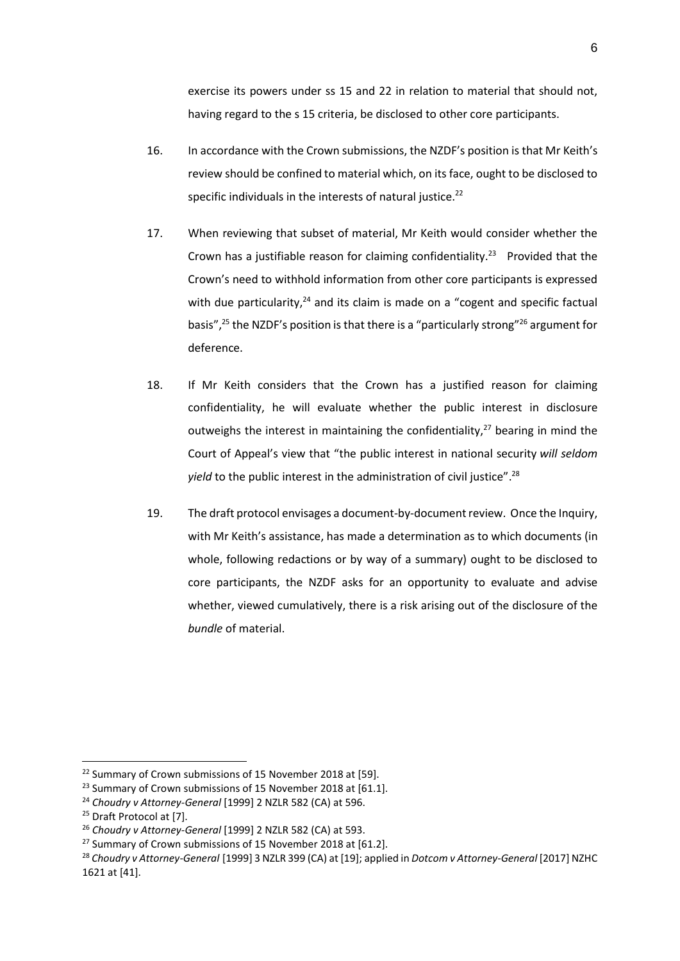exercise its powers under ss 15 and 22 in relation to material that should not, having regard to the s 15 criteria, be disclosed to other core participants.

- 16. In accordance with the Crown submissions, the NZDF's position is that Mr Keith's review should be confined to material which, on its face, ought to be disclosed to specific individuals in the interests of natural justice.<sup>22</sup>
- 17. When reviewing that subset of material, Mr Keith would consider whether the Crown has a justifiable reason for claiming confidentiality.<sup>23</sup> Provided that the Crown's need to withhold information from other core participants is expressed with due particularity, $24$  and its claim is made on a "cogent and specific factual basis",<sup>25</sup> the NZDF's position is that there is a "particularly strong"<sup>26</sup> argument for deference.
- 18. If Mr Keith considers that the Crown has a justified reason for claiming confidentiality, he will evaluate whether the public interest in disclosure outweighs the interest in maintaining the confidentiality, $27$  bearing in mind the Court of Appeal's view that "the public interest in national security *will seldom yield* to the public interest in the administration of civil justice". 28
- 19. The draft protocol envisages a document-by-document review. Once the Inquiry, with Mr Keith's assistance, has made a determination as to which documents (in whole, following redactions or by way of a summary) ought to be disclosed to core participants, the NZDF asks for an opportunity to evaluate and advise whether, viewed cumulatively, there is a risk arising out of the disclosure of the *bundle* of material.

1

<sup>&</sup>lt;sup>22</sup> Summary of Crown submissions of 15 November 2018 at [59].

<sup>&</sup>lt;sup>23</sup> Summary of Crown submissions of 15 November 2018 at [61.1].

<sup>24</sup> *Choudry v Attorney-General* [1999] 2 NZLR 582 (CA) at 596.

<sup>&</sup>lt;sup>25</sup> Draft Protocol at [7].

<sup>26</sup> *Choudry v Attorney-General* [1999] 2 NZLR 582 (CA) at 593.

<sup>&</sup>lt;sup>27</sup> Summary of Crown submissions of 15 November 2018 at [61.2].

<sup>28</sup> *Choudry v Attorney-General* [1999] 3 NZLR 399 (CA) at [19]; applied in *Dotcom v Attorney-General* [2017] NZHC 1621 at [41].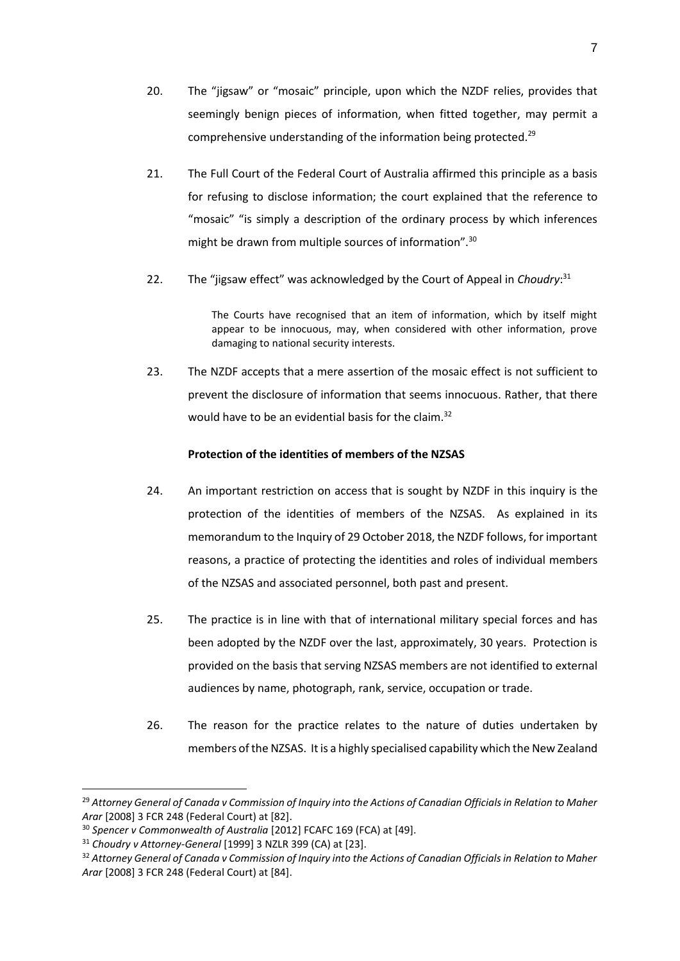- 20. The "jigsaw" or "mosaic" principle, upon which the NZDF relies, provides that seemingly benign pieces of information, when fitted together, may permit a comprehensive understanding of the information being protected.<sup>29</sup>
- 21. The Full Court of the Federal Court of Australia affirmed this principle as a basis for refusing to disclose information; the court explained that the reference to "mosaic" "is simply a description of the ordinary process by which inferences might be drawn from multiple sources of information".<sup>30</sup>
- 22. The "jigsaw effect" was acknowledged by the Court of Appeal in *Choudry*: 31

The Courts have recognised that an item of information, which by itself might appear to be innocuous, may, when considered with other information, prove damaging to national security interests.

23. The NZDF accepts that a mere assertion of the mosaic effect is not sufficient to prevent the disclosure of information that seems innocuous. Rather, that there would have to be an evidential basis for the claim.<sup>32</sup>

## **Protection of the identities of members of the NZSAS**

- 24. An important restriction on access that is sought by NZDF in this inquiry is the protection of the identities of members of the NZSAS. As explained in its memorandum to the Inquiry of 29 October 2018, the NZDF follows, for important reasons, a practice of protecting the identities and roles of individual members of the NZSAS and associated personnel, both past and present.
- 25. The practice is in line with that of international military special forces and has been adopted by the NZDF over the last, approximately, 30 years. Protection is provided on the basis that serving NZSAS members are not identified to external audiences by name, photograph, rank, service, occupation or trade.
- 26. The reason for the practice relates to the nature of duties undertaken by members of the NZSAS. It is a highly specialised capability which the New Zealand

**.** 

<sup>29</sup> *Attorney General of Canada v Commission of Inquiry into the Actions of Canadian Officials in Relation to Maher Arar* [2008] 3 FCR 248 (Federal Court) at [82].

<sup>30</sup> *Spencer v Commonwealth of Australia* [2012] FCAFC 169 (FCA) at [49].

<sup>31</sup> *Choudry v Attorney-General* [1999] 3 NZLR 399 (CA) at [23].

<sup>32</sup> *Attorney General of Canada v Commission of Inquiry into the Actions of Canadian Officials in Relation to Maher Arar* [2008] 3 FCR 248 (Federal Court) at [84].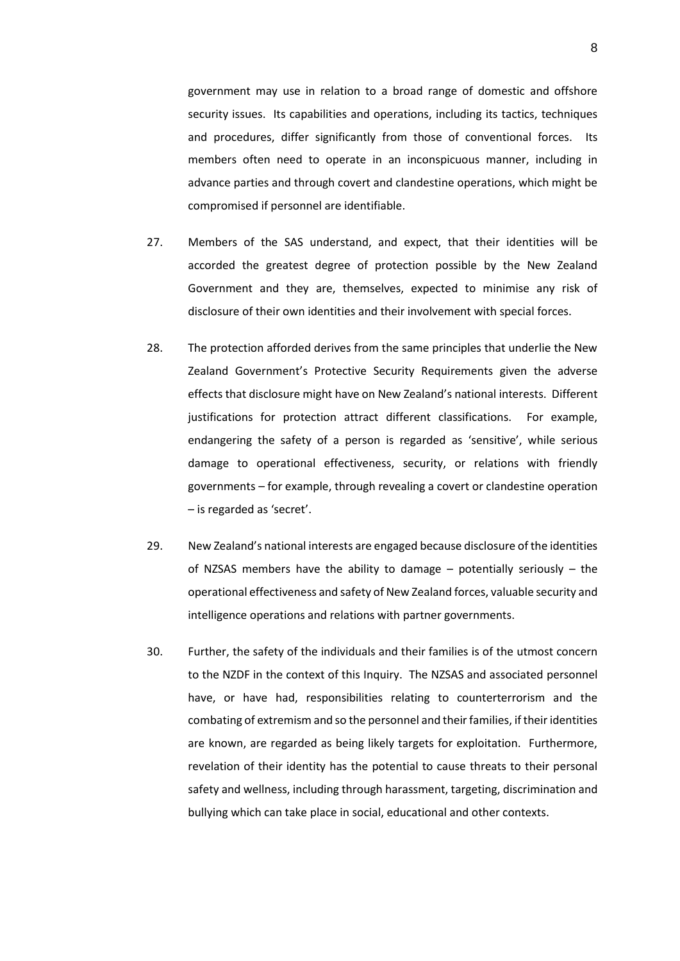government may use in relation to a broad range of domestic and offshore security issues. Its capabilities and operations, including its tactics, techniques and procedures, differ significantly from those of conventional forces. Its members often need to operate in an inconspicuous manner, including in advance parties and through covert and clandestine operations, which might be compromised if personnel are identifiable.

- 27. Members of the SAS understand, and expect, that their identities will be accorded the greatest degree of protection possible by the New Zealand Government and they are, themselves, expected to minimise any risk of disclosure of their own identities and their involvement with special forces.
- 28. The protection afforded derives from the same principles that underlie the New Zealand Government's Protective Security Requirements given the adverse effects that disclosure might have on New Zealand's national interests. Different justifications for protection attract different classifications. For example, endangering the safety of a person is regarded as 'sensitive', while serious damage to operational effectiveness, security, or relations with friendly governments – for example, through revealing a covert or clandestine operation – is regarded as 'secret'.
- 29. New Zealand's national interests are engaged because disclosure of the identities of NZSAS members have the ability to damage – potentially seriously – the operational effectiveness and safety of New Zealand forces, valuable security and intelligence operations and relations with partner governments.
- 30. Further, the safety of the individuals and their families is of the utmost concern to the NZDF in the context of this Inquiry. The NZSAS and associated personnel have, or have had, responsibilities relating to counterterrorism and the combating of extremism and so the personnel and their families, if their identities are known, are regarded as being likely targets for exploitation. Furthermore, revelation of their identity has the potential to cause threats to their personal safety and wellness, including through harassment, targeting, discrimination and bullying which can take place in social, educational and other contexts.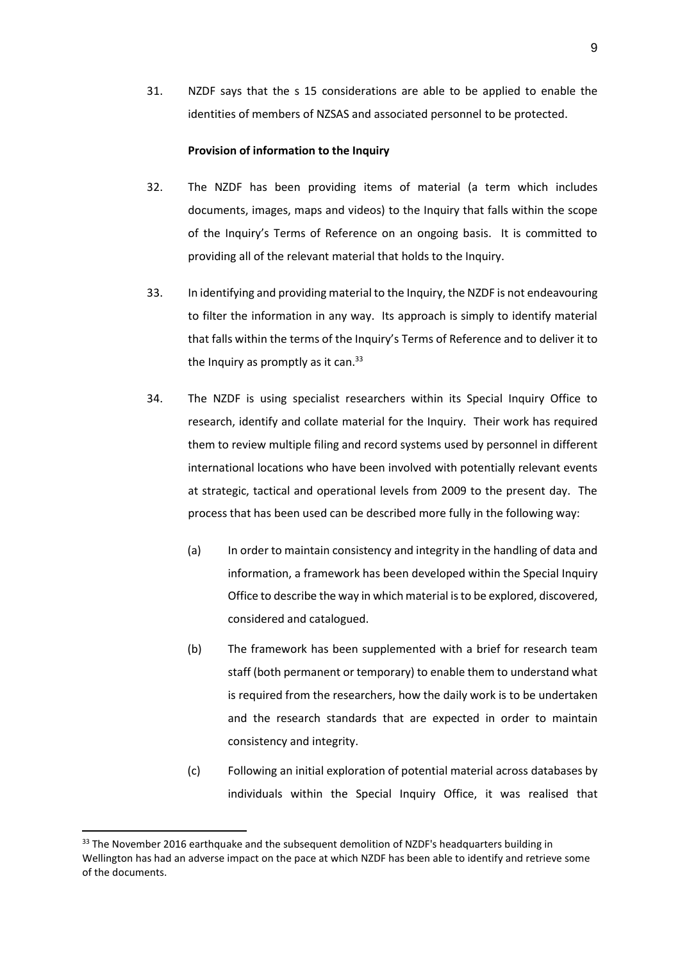31. NZDF says that the s 15 considerations are able to be applied to enable the identities of members of NZSAS and associated personnel to be protected.

## **Provision of information to the Inquiry**

- 32. The NZDF has been providing items of material (a term which includes documents, images, maps and videos) to the Inquiry that falls within the scope of the Inquiry's Terms of Reference on an ongoing basis. It is committed to providing all of the relevant material that holds to the Inquiry.
- 33. In identifying and providing material to the Inquiry, the NZDF is not endeavouring to filter the information in any way. Its approach is simply to identify material that falls within the terms of the Inquiry's Terms of Reference and to deliver it to the Inquiry as promptly as it can.<sup>33</sup>
- 34. The NZDF is using specialist researchers within its Special Inquiry Office to research, identify and collate material for the Inquiry. Their work has required them to review multiple filing and record systems used by personnel in different international locations who have been involved with potentially relevant events at strategic, tactical and operational levels from 2009 to the present day. The process that has been used can be described more fully in the following way:
	- (a) In order to maintain consistency and integrity in the handling of data and information, a framework has been developed within the Special Inquiry Office to describe the way in which material is to be explored, discovered, considered and catalogued.
	- (b) The framework has been supplemented with a brief for research team staff (both permanent or temporary) to enable them to understand what is required from the researchers, how the daily work is to be undertaken and the research standards that are expected in order to maintain consistency and integrity.
	- (c) Following an initial exploration of potential material across databases by individuals within the Special Inquiry Office, it was realised that

**.** 

<sup>33</sup> The November 2016 earthquake and the subsequent demolition of NZDF's headquarters building in Wellington has had an adverse impact on the pace at which NZDF has been able to identify and retrieve some of the documents.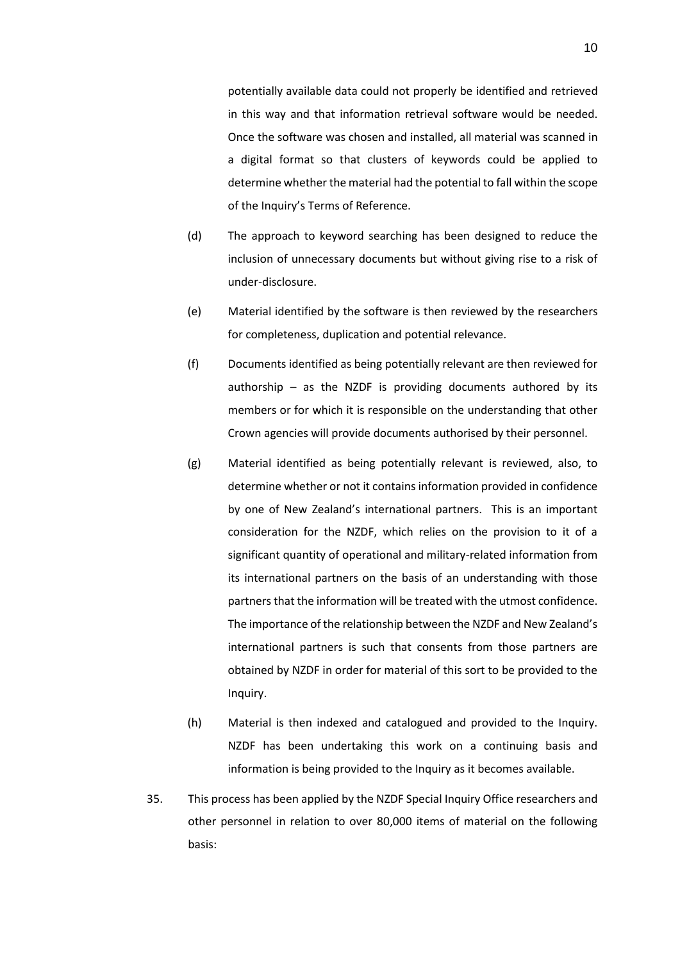potentially available data could not properly be identified and retrieved in this way and that information retrieval software would be needed. Once the software was chosen and installed, all material was scanned in a digital format so that clusters of keywords could be applied to determine whether the material had the potential to fall within the scope of the Inquiry's Terms of Reference.

- (d) The approach to keyword searching has been designed to reduce the inclusion of unnecessary documents but without giving rise to a risk of under-disclosure.
- (e) Material identified by the software is then reviewed by the researchers for completeness, duplication and potential relevance.
- (f) Documents identified as being potentially relevant are then reviewed for authorship  $-$  as the NZDF is providing documents authored by its members or for which it is responsible on the understanding that other Crown agencies will provide documents authorised by their personnel.
- (g) Material identified as being potentially relevant is reviewed, also, to determine whether or not it contains information provided in confidence by one of New Zealand's international partners. This is an important consideration for the NZDF, which relies on the provision to it of a significant quantity of operational and military-related information from its international partners on the basis of an understanding with those partners that the information will be treated with the utmost confidence. The importance of the relationship between the NZDF and New Zealand's international partners is such that consents from those partners are obtained by NZDF in order for material of this sort to be provided to the Inquiry.
- (h) Material is then indexed and catalogued and provided to the Inquiry. NZDF has been undertaking this work on a continuing basis and information is being provided to the Inquiry as it becomes available.
- 35. This process has been applied by the NZDF Special Inquiry Office researchers and other personnel in relation to over 80,000 items of material on the following basis: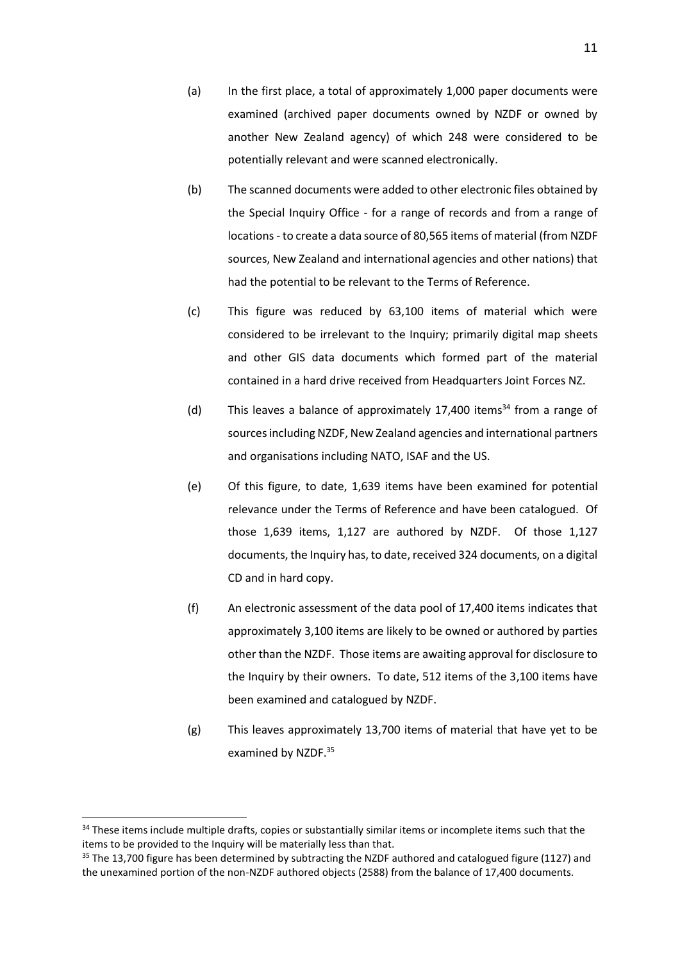- (a) In the first place, a total of approximately 1,000 paper documents were examined (archived paper documents owned by NZDF or owned by another New Zealand agency) of which 248 were considered to be potentially relevant and were scanned electronically.
- (b) The scanned documents were added to other electronic files obtained by the Special Inquiry Office - for a range of records and from a range of locations - to create a data source of 80,565 items of material (from NZDF sources, New Zealand and international agencies and other nations) that had the potential to be relevant to the Terms of Reference.
- (c) This figure was reduced by 63,100 items of material which were considered to be irrelevant to the Inquiry; primarily digital map sheets and other GIS data documents which formed part of the material contained in a hard drive received from Headquarters Joint Forces NZ.
- (d) This leaves a balance of approximately 17,400 items<sup>34</sup> from a range of sources including NZDF, New Zealand agencies and international partners and organisations including NATO, ISAF and the US.
- (e) Of this figure, to date, 1,639 items have been examined for potential relevance under the Terms of Reference and have been catalogued. Of those 1,639 items, 1,127 are authored by NZDF. Of those 1,127 documents, the Inquiry has, to date, received 324 documents, on a digital CD and in hard copy.
- (f) An electronic assessment of the data pool of 17,400 items indicates that approximately 3,100 items are likely to be owned or authored by parties other than the NZDF. Those items are awaiting approval for disclosure to the Inquiry by their owners. To date, 512 items of the 3,100 items have been examined and catalogued by NZDF.
- (g) This leaves approximately 13,700 items of material that have yet to be examined by NZDF.<sup>35</sup>

1

<sup>&</sup>lt;sup>34</sup> These items include multiple drafts, copies or substantially similar items or incomplete items such that the items to be provided to the Inquiry will be materially less than that.

 $35$  The 13,700 figure has been determined by subtracting the NZDF authored and catalogued figure (1127) and the unexamined portion of the non-NZDF authored objects (2588) from the balance of 17,400 documents.